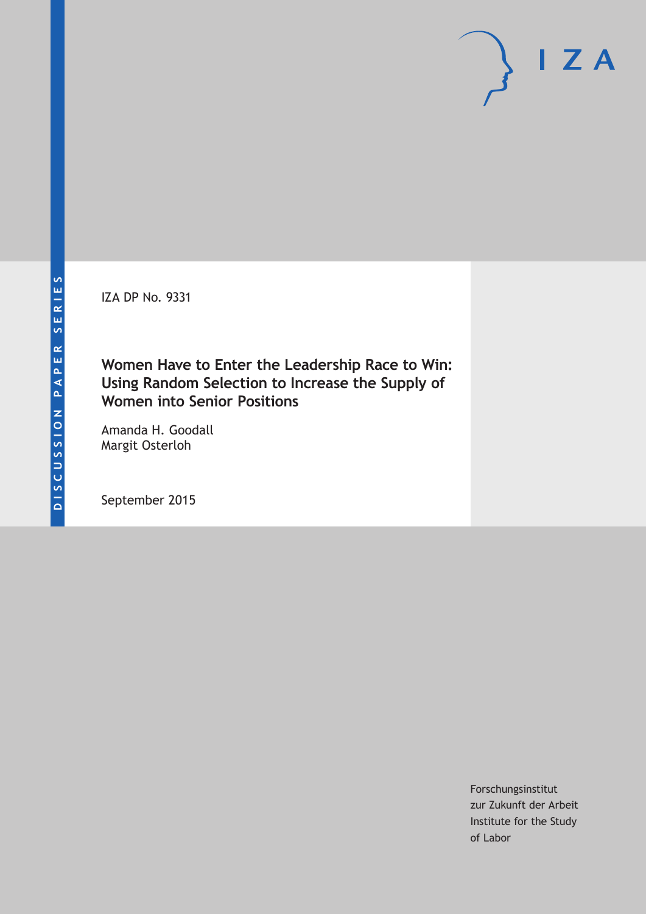IZA DP No. 9331

### **Women Have to Enter the Leadership Race to Win: Using Random Selection to Increase the Supply of Women into Senior Positions**

Amanda H. Goodall Margit Osterloh

September 2015

Forschungsinstitut zur Zukunft der Arbeit Institute for the Study of Labor

 $\mathsf{I}$  ZA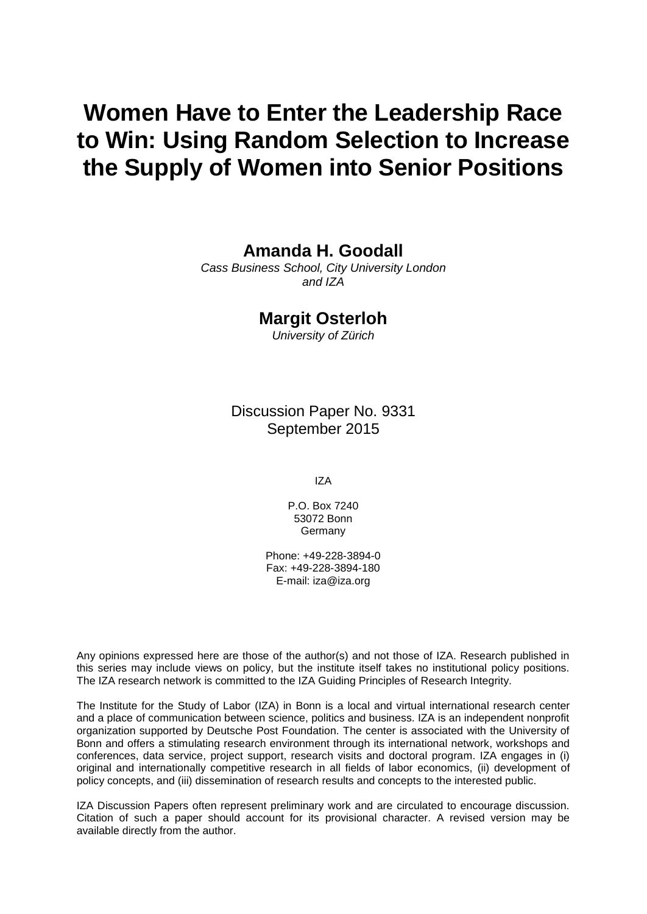# **Women Have to Enter the Leadership Race to Win: Using Random Selection to Increase the Supply of Women into Senior Positions**

**Amanda H. Goodall**

*Cass Business School, City University London and IZA*

### **Margit Osterloh**

*University of Zürich*

Discussion Paper No. 9331 September 2015

IZA

P.O. Box 7240 53072 Bonn Germany

Phone: +49-228-3894-0 Fax: +49-228-3894-180 E-mail: iza@iza.org

Any opinions expressed here are those of the author(s) and not those of IZA. Research published in this series may include views on policy, but the institute itself takes no institutional policy positions. The IZA research network is committed to the IZA Guiding Principles of Research Integrity.

The Institute for the Study of Labor (IZA) in Bonn is a local and virtual international research center and a place of communication between science, politics and business. IZA is an independent nonprofit organization supported by Deutsche Post Foundation. The center is associated with the University of Bonn and offers a stimulating research environment through its international network, workshops and conferences, data service, project support, research visits and doctoral program. IZA engages in (i) original and internationally competitive research in all fields of labor economics, (ii) development of policy concepts, and (iii) dissemination of research results and concepts to the interested public.

IZA Discussion Papers often represent preliminary work and are circulated to encourage discussion. Citation of such a paper should account for its provisional character. A revised version may be available directly from the author.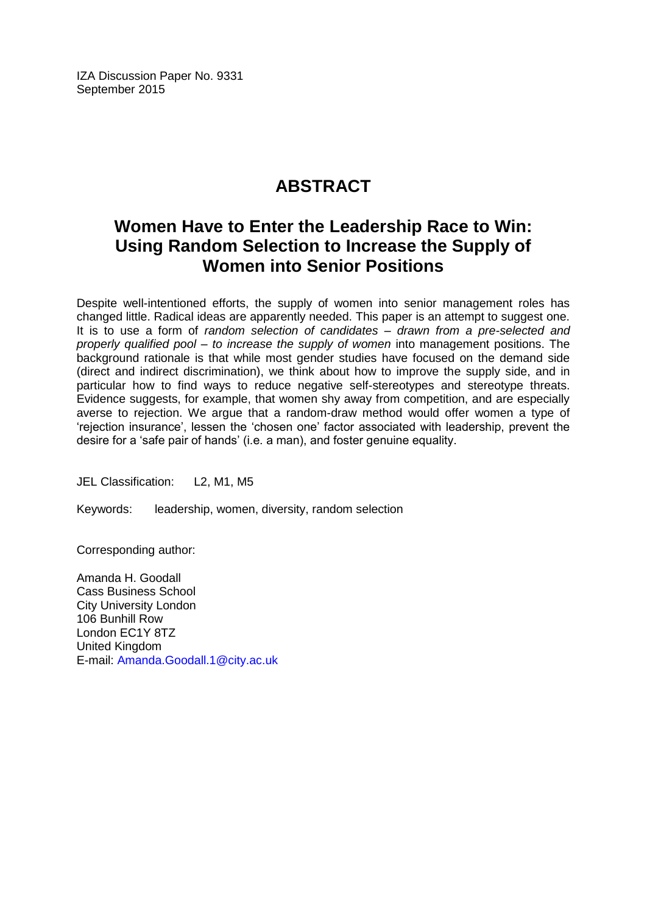IZA Discussion Paper No. 9331 September 2015

# **ABSTRACT**

# **Women Have to Enter the Leadership Race to Win: Using Random Selection to Increase the Supply of Women into Senior Positions**

Despite well-intentioned efforts, the supply of women into senior management roles has changed little. Radical ideas are apparently needed. This paper is an attempt to suggest one. It is to use a form of *random selection of candidates – drawn from a pre-selected and properly qualified pool – to increase the supply of women* into management positions. The background rationale is that while most gender studies have focused on the demand side (direct and indirect discrimination), we think about how to improve the supply side, and in particular how to find ways to reduce negative self-stereotypes and stereotype threats. Evidence suggests, for example, that women shy away from competition, and are especially averse to rejection. We argue that a random-draw method would offer women a type of 'rejection insurance', lessen the 'chosen one' factor associated with leadership, prevent the desire for a 'safe pair of hands' (i.e. a man), and foster genuine equality.

JEL Classification: L2, M1, M5

Keywords: leadership, women, diversity, random selection

Corresponding author:

Amanda H. Goodall Cass Business School City University London 106 Bunhill Row London EC1Y 8TZ United Kingdom E-mail: [Amanda.Goodall.1@city.ac.uk](mailto:Amanda.Goodall.1@city.ac.uk)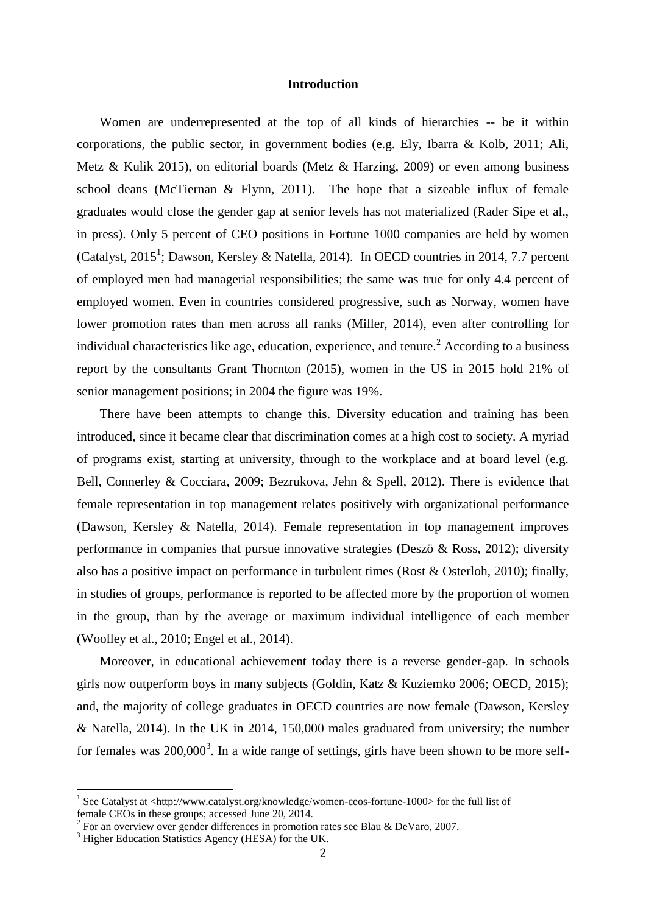#### **Introduction**

Women are underrepresented at the top of all kinds of hierarchies -- be it within corporations, the public sector, in government bodies (e.g. Ely, Ibarra & Kolb, 2011; Ali, Metz & Kulik 2015), on editorial boards (Metz & Harzing, 2009) or even among business school deans (McTiernan & Flynn, 2011). The hope that a sizeable influx of female graduates would close the gender gap at senior levels has not materialized (Rader Sipe et al., in press). Only 5 percent of CEO positions in Fortune 1000 companies are held by women (Catalyst, 2015<sup>1</sup>; Dawson, Kersley & Natella, 2014). In OECD countries in 2014, 7.7 percent of employed men had managerial responsibilities; the same was true for only 4.4 percent of employed women. Even in countries considered progressive, such as Norway, women have lower promotion rates than men across all ranks (Miller, 2014), even after controlling for individual characteristics like age, education, experience, and tenure.<sup>2</sup> According to a business report by the consultants Grant Thornton (2015), women in the US in 2015 hold 21% of senior management positions; in 2004 the figure was 19%.

There have been attempts to change this. Diversity education and training has been introduced, since it became clear that discrimination comes at a high cost to society. A myriad of programs exist, starting at university, through to the workplace and at board level (e.g. Bell, Connerley & Cocciara, 2009; Bezrukova, Jehn & Spell, 2012). There is evidence that female representation in top management relates positively with organizational performance (Dawson, Kersley & Natella, 2014). Female representation in top management improves performance in companies that pursue innovative strategies (Deszö & Ross, 2012); diversity also has a positive impact on performance in turbulent times (Rost & Osterloh, 2010); finally, in studies of groups, performance is reported to be affected more by the proportion of women in the group, than by the average or maximum individual intelligence of each member (Woolley et al., 2010; Engel et al., 2014).

Moreover, in educational achievement today there is a reverse gender-gap. In schools girls now outperform boys in many subjects (Goldin, Katz & Kuziemko 2006; OECD, 2015); and, the majority of college graduates in OECD countries are now female (Dawson, Kersley & Natella, 2014). In the UK in 2014, 150,000 males graduated from university; the number for females was  $200,000^3$ . In a wide range of settings, girls have been shown to be more self-

 $\overline{\phantom{a}}$ 

<sup>&</sup>lt;sup>1</sup> See Catalyst at <http://www.catalyst.org/knowledge/women-ceos-fortune-1000> for the full list of female CEOs in these groups; accessed June 20, 2014.

<sup>&</sup>lt;sup>2</sup> For an overview over gender differences in promotion rates see Blau & DeVaro, 2007.

<sup>&</sup>lt;sup>3</sup> Higher Education Statistics Agency (HESA) for the UK.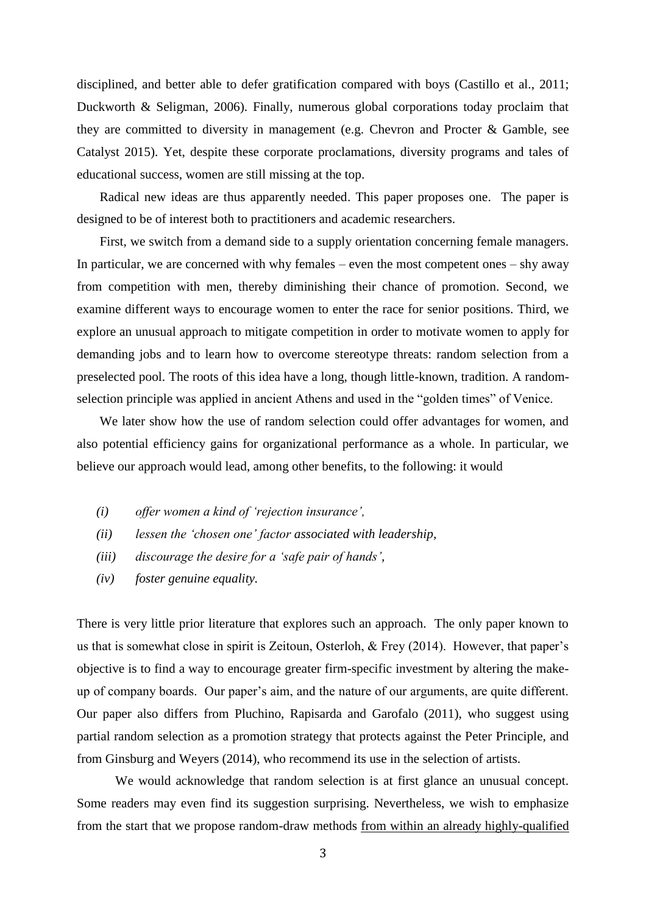disciplined, and better able to defer gratification compared with boys (Castillo et al., 2011; Duckworth & Seligman, 2006). Finally, numerous global corporations today proclaim that they are committed to diversity in management (e.g. [Chevron](http://www.chevron.com/) and [Procter & Gamble,](http://www.pg.com/en_US/index.shtml) see Catalyst 2015). Yet, despite these corporate proclamations, diversity programs and tales of educational success, women are still missing at the top.

Radical new ideas are thus apparently needed. This paper proposes one. The paper is designed to be of interest both to practitioners and academic researchers.

First, we switch from a demand side to a supply orientation concerning female managers. In particular, we are concerned with why females – even the most competent ones – shy away from competition with men, thereby diminishing their chance of promotion. Second, we examine different ways to encourage women to enter the race for senior positions. Third, we explore an unusual approach to mitigate competition in order to motivate women to apply for demanding jobs and to learn how to overcome stereotype threats: random selection from a preselected pool. The roots of this idea have a long, though little-known, tradition. A randomselection principle was applied in ancient Athens and used in the "golden times" of Venice.

We later show how the use of random selection could offer advantages for women, and also potential efficiency gains for organizational performance as a whole. In particular, we believe our approach would lead, among other benefits, to the following: it would

- *(i) offer women a kind of 'rejection insurance',*
- *(ii) lessen the 'chosen one' factor associated with leadership,*
- *(iii) discourage the desire for a 'safe pair of hands',*
- *(iv) foster genuine equality.*

There is very little prior literature that explores such an approach. The only paper known to us that is somewhat close in spirit is Zeitoun, Osterloh, & Frey (2014). However, that paper's objective is to find a way to encourage greater firm-specific investment by altering the makeup of company boards. Our paper's aim, and the nature of our arguments, are quite different. Our paper also differs from Pluchino, Rapisarda and Garofalo (2011), who suggest using partial random selection as a promotion strategy that protects against the Peter Principle, and from Ginsburg and Weyers (2014), who recommend its use in the selection of artists.

We would acknowledge that random selection is at first glance an unusual concept. Some readers may even find its suggestion surprising. Nevertheless, we wish to emphasize from the start that we propose random-draw methods from within an already highly-qualified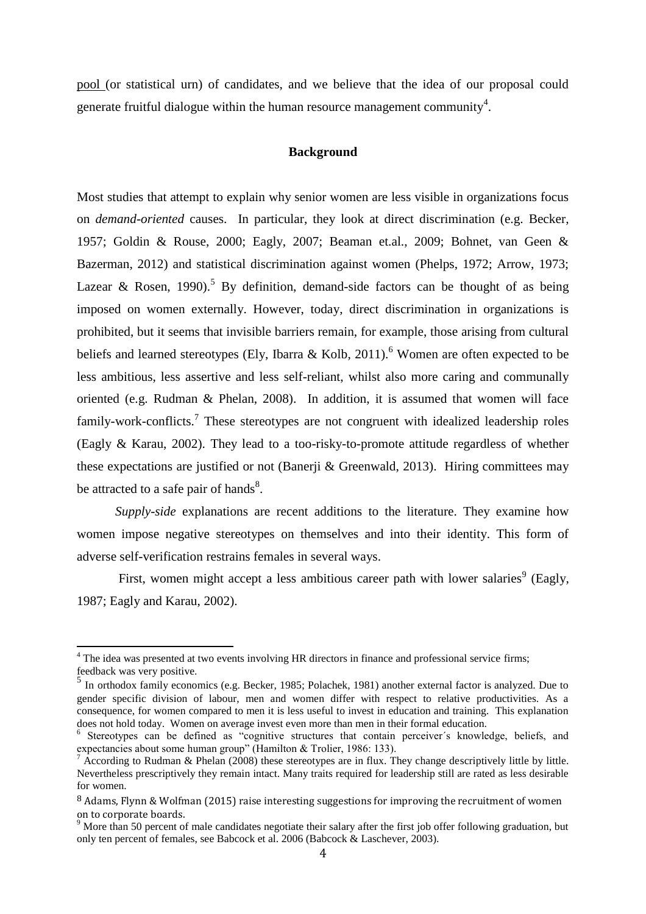pool (or statistical urn) of candidates, and we believe that the idea of our proposal could generate fruitful dialogue within the human resource management community<sup>4</sup>.

#### **Background**

Most studies that attempt to explain why senior women are less visible in organizations focus on *demand-oriented* causes. In particular, they look at direct discrimination (e.g. Becker, 1957; Goldin & Rouse, 2000; Eagly, 2007; Beaman et.al., 2009; Bohnet, van Geen & Bazerman, 2012) and statistical discrimination against women (Phelps, 1972; Arrow, 1973; Lazear & Rosen, 1990).<sup>5</sup> By definition, demand-side factors can be thought of as being imposed on women externally. However, today, direct discrimination in organizations is prohibited, but it seems that invisible barriers remain, for example, those arising from cultural beliefs and learned stereotypes (Ely, Ibarra & Kolb, 2011).<sup>6</sup> Women are often expected to be less ambitious, less assertive and less self-reliant, whilst also more caring and communally oriented (e.g. Rudman & Phelan, 2008). In addition, it is assumed that women will face family-work-conflicts.<sup>7</sup> These stereotypes are not congruent with idealized leadership roles (Eagly & Karau, 2002). They lead to a too-risky-to-promote attitude regardless of whether these expectations are justified or not (Banerji & Greenwald, 2013). Hiring committees may be attracted to a safe pair of hands $8$ .

*Supply-side* explanations are recent additions to the literature. They examine how women impose negative stereotypes on themselves and into their identity. This form of adverse self-verification restrains females in several ways.

First, women might accept a less ambitious career path with lower salaries<sup>9</sup> (Eagly, 1987; Eagly and Karau, 2002).

 $\overline{\phantom{a}}$ 

<sup>&</sup>lt;sup>4</sup> The idea was presented at two events involving HR directors in finance and professional service firms; feedback was very positive.

<sup>&</sup>lt;sup>5</sup> In orthodox family economics (e.g. Becker, 1985; Polachek, 1981) another external factor is analyzed. Due to gender specific division of labour, men and women differ with respect to relative productivities. As a consequence, for women compared to men it is less useful to invest in education and training. This explanation does not hold today. Women on average invest even more than men in their formal education.

<sup>&</sup>lt;sup>6</sup> Stereotypes can be defined as "cognitive structures that contain perceiver's knowledge, beliefs, and expectancies about some human group" (Hamilton & Trolier, 1986: 133).

 $^7$  According to Rudman & Phelan (2008) these stereotypes are in flux. They change descriptively little by little. Nevertheless prescriptively they remain intact. Many traits required for leadership still are rated as less desirable for women.

<sup>&</sup>lt;sup>8</sup> Adams, Flynn & Wolfman (2015) raise interesting suggestions for improving the recruitment of women on to corporate boards.

<sup>9</sup> More than 50 percent of male candidates negotiate their salary after the first job offer following graduation, but only ten percent of females, see Babcock et al. 2006 (Babcock & Laschever, 2003).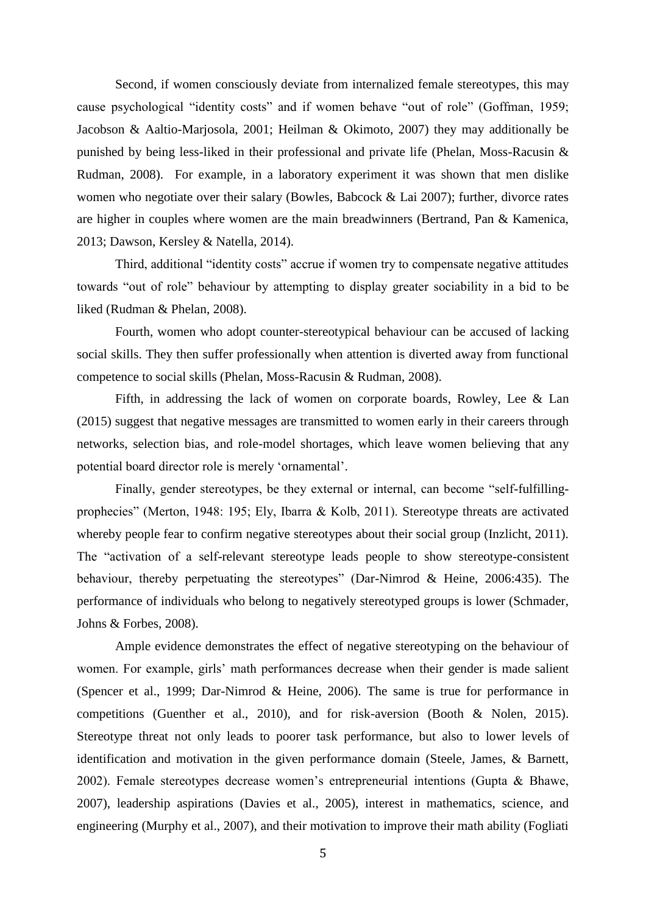Second, if women consciously deviate from internalized female stereotypes, this may cause psychological "identity costs" and if women behave "out of role" (Goffman, 1959; Jacobson & Aaltio-Marjosola, 2001; Heilman & Okimoto, 2007) they may additionally be punished by being less-liked in their professional and private life (Phelan, Moss-Racusin & Rudman, 2008). For example, in a laboratory experiment it was shown that men dislike women who negotiate over their salary (Bowles, Babcock & Lai 2007); further, divorce rates are higher in couples where women are the main breadwinners (Bertrand, Pan & Kamenica, 2013; Dawson, Kersley & Natella, 2014).

Third, additional "identity costs" accrue if women try to compensate negative attitudes towards "out of role" behaviour by attempting to display greater sociability in a bid to be liked (Rudman & Phelan, 2008).

Fourth, women who adopt counter-stereotypical behaviour can be accused of lacking social skills. They then suffer professionally when attention is diverted away from functional competence to social skills (Phelan, Moss-Racusin & Rudman, 2008).

Fifth, in addressing the lack of women on corporate boards, Rowley, Lee & Lan (2015) suggest that negative messages are transmitted to women early in their careers through networks, selection bias, and role-model shortages, which leave women believing that any potential board director role is merely 'ornamental'.

Finally, gender stereotypes, be they external or internal, can become "self-fulfillingprophecies" (Merton, 1948: 195; Ely, Ibarra & Kolb, 2011). Stereotype threats are activated whereby people fear to confirm negative stereotypes about their social group (Inzlicht, 2011). The "activation of a self-relevant stereotype leads people to show stereotype-consistent behaviour, thereby perpetuating the stereotypes" (Dar-Nimrod & Heine, 2006:435). The performance of individuals who belong to negatively stereotyped groups is lower (Schmader, Johns & Forbes, 2008).

Ample evidence demonstrates the effect of negative stereotyping on the behaviour of women. For example, girls' math performances decrease when their gender is made salient (Spencer et al., 1999; Dar-Nimrod & Heine, 2006). The same is true for performance in competitions (Guenther et al., 2010), and for risk-aversion (Booth & Nolen, 2015). Stereotype threat not only leads to poorer task performance, but also to lower levels of identification and motivation in the given performance domain (Steele, James, & Barnett, 2002). Female stereotypes decrease women's entrepreneurial intentions (Gupta & Bhawe, 2007), leadership aspirations (Davies et al., 2005), interest in mathematics, science, and engineering (Murphy et al., 2007), and their motivation to improve their math ability (Fogliati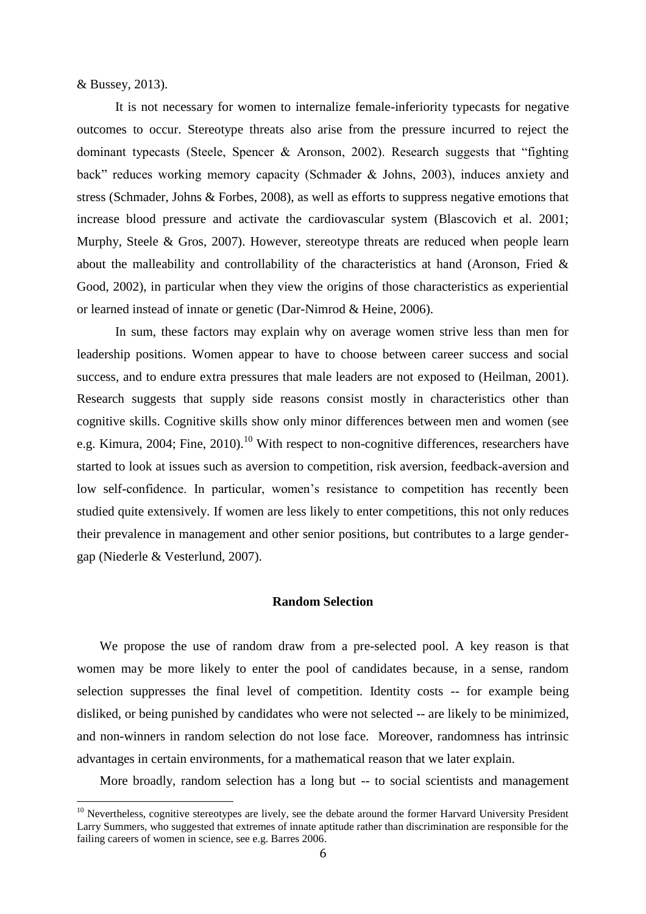& Bussey, 2013).

 $\overline{\phantom{a}}$ 

It is not necessary for women to internalize female-inferiority typecasts for negative outcomes to occur. Stereotype threats also arise from the pressure incurred to reject the dominant typecasts (Steele, Spencer & Aronson, 2002). Research suggests that "fighting back" reduces working memory capacity (Schmader & Johns, 2003), induces anxiety and stress (Schmader, Johns & Forbes, 2008), as well as efforts to suppress negative emotions that increase blood pressure and activate the cardiovascular system (Blascovich et al. 2001; Murphy, Steele & Gros, 2007). However, stereotype threats are reduced when people learn about the malleability and controllability of the characteristics at hand (Aronson, Fried & Good, 2002), in particular when they view the origins of those characteristics as experiential or learned instead of innate or genetic (Dar-Nimrod & Heine, 2006).

In sum, these factors may explain why on average women strive less than men for leadership positions. Women appear to have to choose between career success and social success, and to endure extra pressures that male leaders are not exposed to (Heilman, 2001). Research suggests that supply side reasons consist mostly in characteristics other than cognitive skills. Cognitive skills show only minor differences between men and women (see e.g. Kimura, 2004; Fine, 2010).<sup>10</sup> With respect to non-cognitive differences, researchers have started to look at issues such as aversion to competition, risk aversion, feedback-aversion and low self-confidence. In particular, women's resistance to competition has recently been studied quite extensively. If women are less likely to enter competitions, this not only reduces their prevalence in management and other senior positions, but contributes to a large gendergap (Niederle & Vesterlund, 2007).

#### **Random Selection**

We propose the use of random draw from a pre-selected pool. A key reason is that women may be more likely to enter the pool of candidates because, in a sense, random selection suppresses the final level of competition. Identity costs -- for example being disliked, or being punished by candidates who were not selected -- are likely to be minimized, and non-winners in random selection do not lose face. Moreover, randomness has intrinsic advantages in certain environments, for a mathematical reason that we later explain.

More broadly, random selection has a long but -- to social scientists and management

 $10$  Nevertheless, cognitive stereotypes are lively, see the debate around the former Harvard University President Larry Summers, who suggested that extremes of innate aptitude rather than discrimination are responsible for the failing careers of women in science, see e.g. Barres 2006.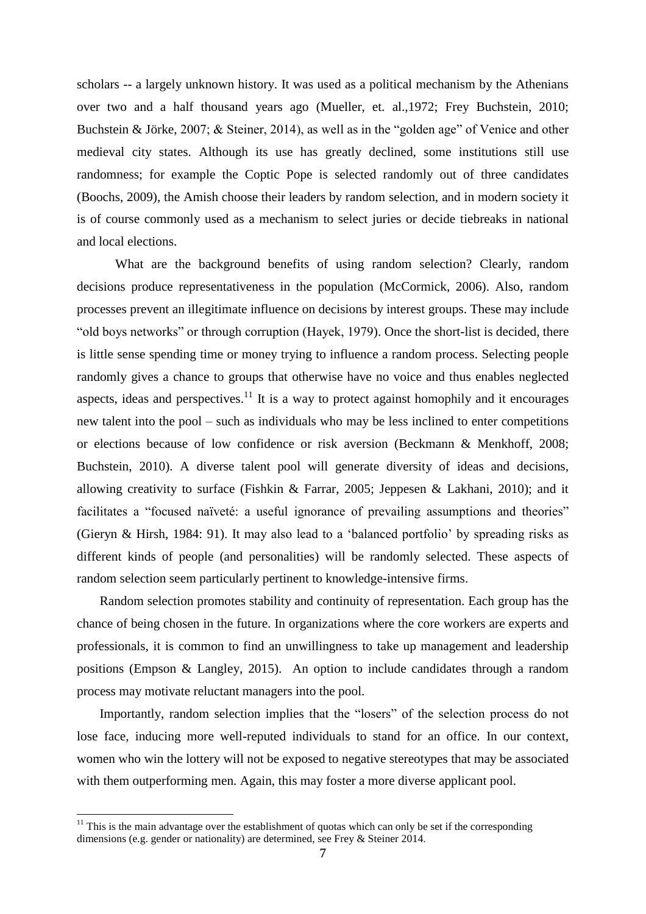scholars -- a largely unknown history. It was used as a political mechanism by the Athenians over two and a half thousand years ago (Mueller, et. al.,1972; Frey Buchstein, 2010; Buchstein & Jörke, 2007; & Steiner, 2014), as well as in the "golden age" of Venice and other medieval city states. Although its use has greatly declined, some institutions still use randomness; for example the Coptic Pope is selected randomly out of three candidates (Boochs, 2009), the Amish choose their leaders by random selection, and in modern society it is of course commonly used as a mechanism to select juries or decide tiebreaks in national and local elections.

What are the background benefits of using random selection? Clearly, random decisions produce representativeness in the population (McCormick, 2006). Also, random processes prevent an illegitimate influence on decisions by interest groups. These may include "old boys networks" or through corruption (Hayek, 1979). Once the short-list is decided, there is little sense spending time or money trying to influence a random process. Selecting people randomly gives a chance to groups that otherwise have no voice and thus enables neglected aspects, ideas and perspectives.<sup>11</sup> It is a way to protect against homophily and it encourages new talent into the pool – such as individuals who may be less inclined to enter competitions or elections because of low confidence or risk aversion (Beckmann & Menkhoff, 2008; Buchstein, 2010). A diverse talent pool will generate diversity of ideas and decisions, allowing creativity to surface (Fishkin & Farrar, 2005; Jeppesen & Lakhani, 2010); and it facilitates a "focused naïveté: a useful ignorance of prevailing assumptions and theories" [\(Gieryn & Hirsh, 1984: 91\)](#page-19-0). It may also lead to a 'balanced portfolio' by spreading risks as different kinds of people (and personalities) will be randomly selected. These aspects of random selection seem particularly pertinent to knowledge-intensive firms.

Random selection promotes stability and continuity of representation. Each group has the chance of being chosen in the future. In organizations where the core workers are experts and professionals, it is common to find an unwillingness to take up management and leadership positions (Empson & Langley, 2015). An option to include candidates through a random process may motivate reluctant managers into the pool.

Importantly, random selection implies that the "losers" of the selection process do not lose face, inducing more well-reputed individuals to stand for an office. In our context, women who win the lottery will not be exposed to negative stereotypes that may be associated with them outperforming men. Again, this may foster a more diverse applicant pool.

 $\overline{\phantom{a}}$ 

 $11$  This is the main advantage over the establishment of quotas which can only be set if the corresponding dimensions (e.g. gender or nationality) are determined, see Frey & Steiner 2014.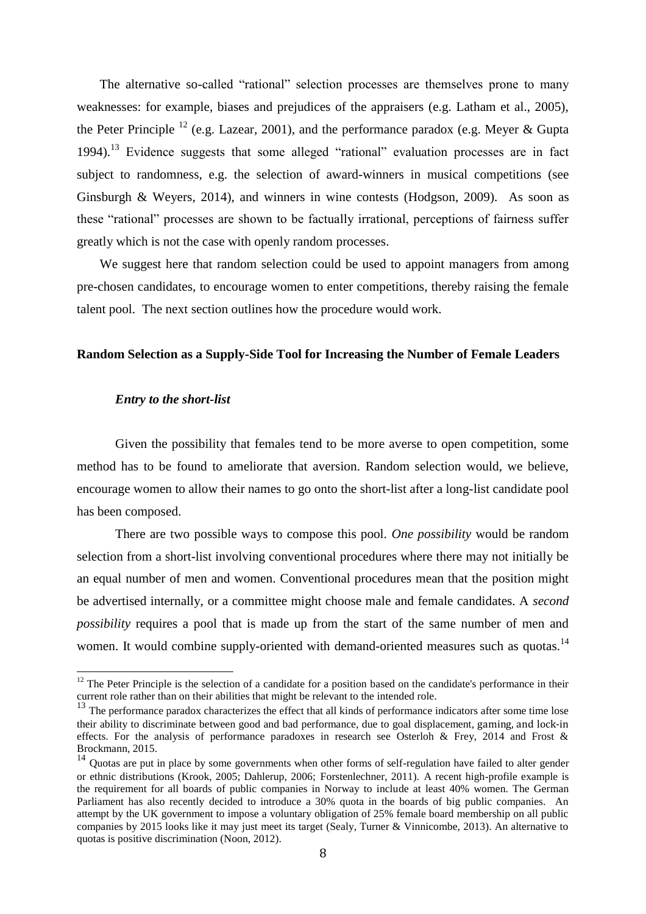The alternative so-called "rational" selection processes are themselves prone to many weaknesses: for example, biases and prejudices of the appraisers (e.g. Latham et al., 2005), the Peter Principle <sup>12</sup> (e.g. Lazear, 2001), and the performance paradox (e.g. Meyer & Gupta 1994).<sup>13</sup> Evidence suggests that some alleged "rational" evaluation processes are in fact subject to randomness, e.g. the selection of award-winners in musical competitions (see Ginsburgh & Weyers, 2014), and winners in wine contests (Hodgson, 2009). As soon as these "rational" processes are shown to be factually irrational, perceptions of fairness suffer greatly which is not the case with openly random processes.

We suggest here that random selection could be used to appoint managers from among pre-chosen candidates, to encourage women to enter competitions, thereby raising the female talent pool. The next section outlines how the procedure would work.

#### **Random Selection as a Supply-Side Tool for Increasing the Number of Female Leaders**

#### *Entry to the short-list*

 $\overline{\phantom{a}}$ 

Given the possibility that females tend to be more averse to open competition, some method has to be found to ameliorate that aversion. Random selection would, we believe, encourage women to allow their names to go onto the short-list after a long-list candidate pool has been composed.

There are two possible ways to compose this pool. *One possibility* would be random selection from a short-list involving conventional procedures where there may not initially be an equal number of men and women. Conventional procedures mean that the position might be advertised internally, or a committee might choose male and female candidates. A *second possibility* requires a pool that is made up from the start of the same number of men and women. It would combine supply-oriented with demand-oriented measures such as quotas.<sup>14</sup>

 $12$  The Peter Principle is the selection of a candidate for a position based on the candidate's performance in their current role rather than on their abilities that might be relevant to the intended role.

<sup>&</sup>lt;sup>13</sup> The performance paradox characterizes the effect that all kinds of performance indicators after some time lose their ability to discriminate between good and bad performance, due to goal displacement, gaming, and lock-in effects. For the analysis of performance paradoxes in research see Osterloh & Frey, 2014 and Frost & Brockmann, 2015.

<sup>&</sup>lt;sup>14</sup> Quotas are put in place by some governments when other forms of self-regulation have failed to alter gender or ethnic distributions (Krook, 2005; Dahlerup, 2006; Forstenlechner, 2011). A recent high-profile example is the requirement for all boards of public companies in Norway to include at least 40% women. The German Parliament has also recently decided to introduce a 30% quota in the boards of big public companies. An attempt by the UK government to impose a voluntary obligation of 25% female board membership on all public companies by 2015 looks like it may just meet its target (Sealy, Turner & Vinnicombe, 2013). An alternative to quotas is positive discrimination (Noon, 2012).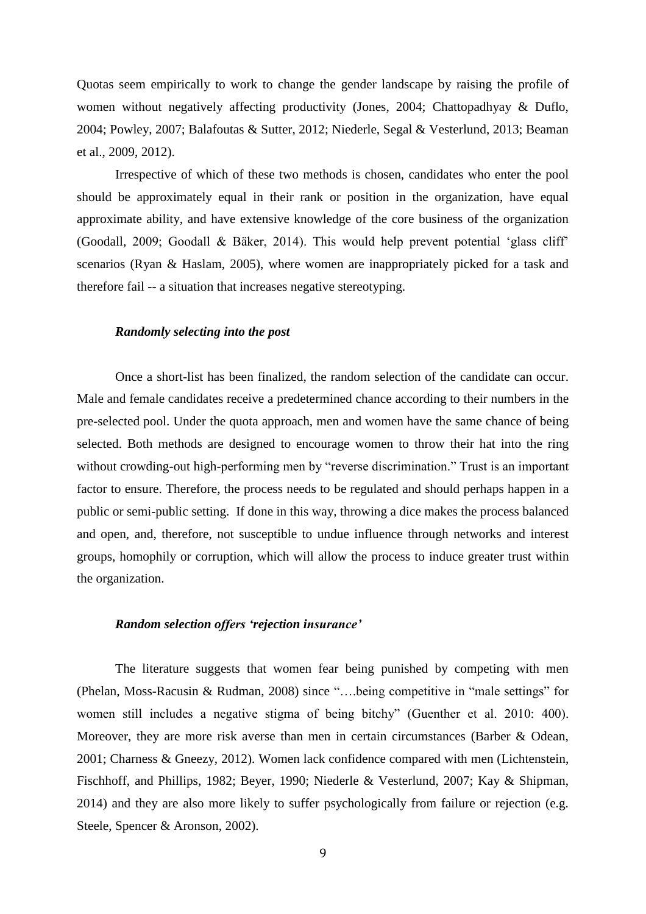Quotas seem empirically to work to change the gender landscape by raising the profile of women without negatively affecting productivity (Jones, 2004; Chattopadhyay & Duflo, 2004; Powley, 2007; Balafoutas & Sutter, 2012; Niederle, Segal & Vesterlund, 2013; Beaman et al., 2009, 2012).

Irrespective of which of these two methods is chosen, candidates who enter the pool should be approximately equal in their rank or position in the organization, have equal approximate ability, and have extensive knowledge of the core business of the organization (Goodall, 2009; Goodall & Bäker, 2014). This would help prevent potential 'glass cliff' scenarios (Ryan & Haslam, 2005), where women are inappropriately picked for a task and therefore fail -- a situation that increases negative stereotyping.

#### *Randomly selecting into the post*

Once a short-list has been finalized, the random selection of the candidate can occur. Male and female candidates receive a predetermined chance according to their numbers in the pre-selected pool. Under the quota approach, men and women have the same chance of being selected. Both methods are designed to encourage women to throw their hat into the ring without crowding-out high-performing men by "reverse discrimination." Trust is an important factor to ensure. Therefore, the process needs to be regulated and should perhaps happen in a public or semi-public setting. If done in this way, throwing a dice makes the process balanced and open, and, therefore, not susceptible to undue influence through networks and interest groups, homophily or corruption, which will allow the process to induce greater trust within the organization.

#### *Random selection offers 'rejection insurance'*

The literature suggests that women fear being punished by competing with men (Phelan, Moss-Racusin & Rudman, 2008) since "….being competitive in "male settings" for women still includes a negative stigma of being bitchy" (Guenther et al. 2010: 400). Moreover, they are more risk averse than men in certain circumstances (Barber & Odean, 2001; Charness & Gneezy, 2012). Women lack confidence compared with men (Lichtenstein, Fischhoff, and Phillips, 1982; Beyer, 1990; Niederle & Vesterlund, 2007; Kay & Shipman, 2014) and they are also more likely to suffer psychologically from failure or rejection (e.g. Steele, Spencer & Aronson, 2002).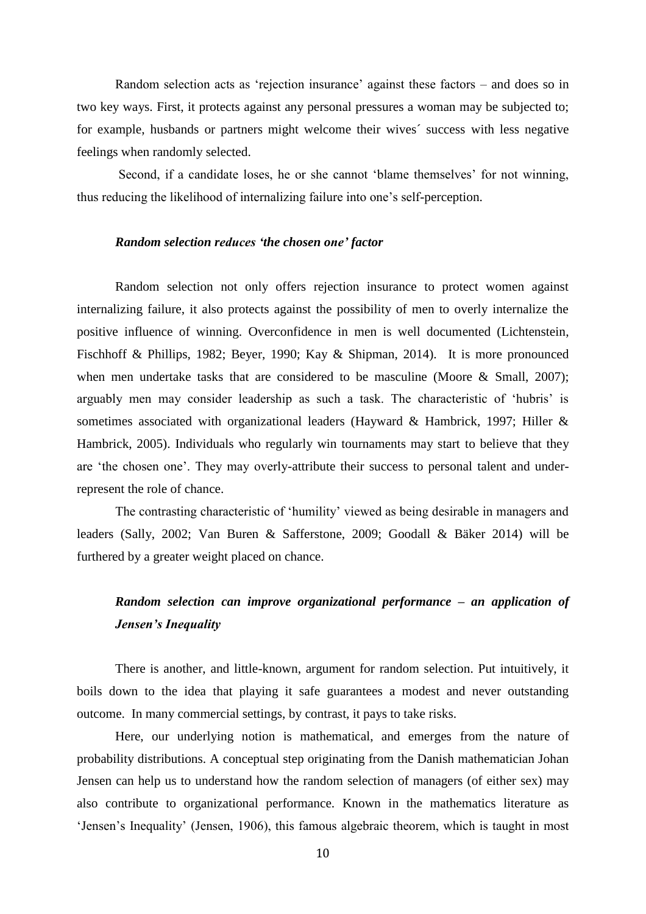Random selection acts as 'rejection insurance' against these factors – and does so in two key ways. First, it protects against any personal pressures a woman may be subjected to; for example, husbands or partners might welcome their wives´ success with less negative feelings when randomly selected.

Second, if a candidate loses, he or she cannot 'blame themselves' for not winning, thus reducing the likelihood of internalizing failure into one's self-perception.

#### *Random selection reduces 'the chosen one' factor*

Random selection not only offers rejection insurance to protect women against internalizing failure, it also protects against the possibility of men to overly internalize the positive influence of winning. Overconfidence in men is well documented (Lichtenstein, Fischhoff & Phillips, 1982; Beyer, 1990; Kay & Shipman, 2014). It is more pronounced when men undertake tasks that are considered to be masculine (Moore & Small, 2007); arguably men may consider leadership as such a task. The characteristic of 'hubris' is sometimes associated with organizational leaders (Hayward & Hambrick, 1997; Hiller & Hambrick, 2005). Individuals who regularly win tournaments may start to believe that they are 'the chosen one'. They may overly-attribute their success to personal talent and underrepresent the role of chance.

The contrasting characteristic of 'humility' viewed as being desirable in managers and leaders (Sally, 2002; Van Buren & Safferstone, 2009; Goodall & Bäker 2014) will be furthered by a greater weight placed on chance.

### *Random selection can improve organizational performance – an application of Jensen's Inequality*

There is another, and little-known, argument for random selection. Put intuitively, it boils down to the idea that playing it safe guarantees a modest and never outstanding outcome. In many commercial settings, by contrast, it pays to take risks.

Here, our underlying notion is mathematical, and emerges from the nature of probability distributions. A conceptual step originating from the Danish mathematician Johan Jensen can help us to understand how the random selection of managers (of either sex) may also contribute to organizational performance. Known in the mathematics literature as 'Jensen's Inequality' (Jensen, 1906), this famous algebraic theorem, which is taught in most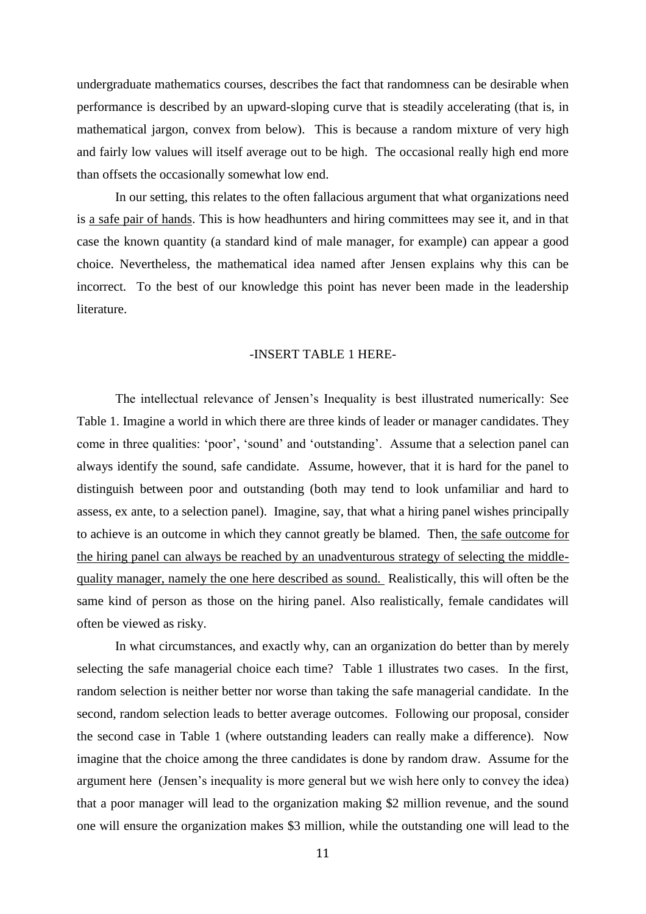undergraduate mathematics courses, describes the fact that randomness can be desirable when performance is described by an upward-sloping curve that is steadily accelerating (that is, in mathematical jargon, convex from below). This is because a random mixture of very high and fairly low values will itself average out to be high. The occasional really high end more than offsets the occasionally somewhat low end.

In our setting, this relates to the often fallacious argument that what organizations need is a safe pair of hands. This is how headhunters and hiring committees may see it, and in that case the known quantity (a standard kind of male manager, for example) can appear a good choice. Nevertheless, the mathematical idea named after Jensen explains why this can be incorrect. To the best of our knowledge this point has never been made in the leadership literature.

#### -INSERT TABLE 1 HERE-

The intellectual relevance of Jensen's Inequality is best illustrated numerically: See Table 1. Imagine a world in which there are three kinds of leader or manager candidates. They come in three qualities: 'poor', 'sound' and 'outstanding'. Assume that a selection panel can always identify the sound, safe candidate. Assume, however, that it is hard for the panel to distinguish between poor and outstanding (both may tend to look unfamiliar and hard to assess, ex ante, to a selection panel). Imagine, say, that what a hiring panel wishes principally to achieve is an outcome in which they cannot greatly be blamed. Then, the safe outcome for the hiring panel can always be reached by an unadventurous strategy of selecting the middlequality manager, namely the one here described as sound. Realistically, this will often be the same kind of person as those on the hiring panel. Also realistically, female candidates will often be viewed as risky.

In what circumstances, and exactly why, can an organization do better than by merely selecting the safe managerial choice each time? Table 1 illustrates two cases. In the first, random selection is neither better nor worse than taking the safe managerial candidate. In the second, random selection leads to better average outcomes. Following our proposal, consider the second case in Table 1 (where outstanding leaders can really make a difference). Now imagine that the choice among the three candidates is done by random draw. Assume for the argument here (Jensen's inequality is more general but we wish here only to convey the idea) that a poor manager will lead to the organization making \$2 million revenue, and the sound one will ensure the organization makes \$3 million, while the outstanding one will lead to the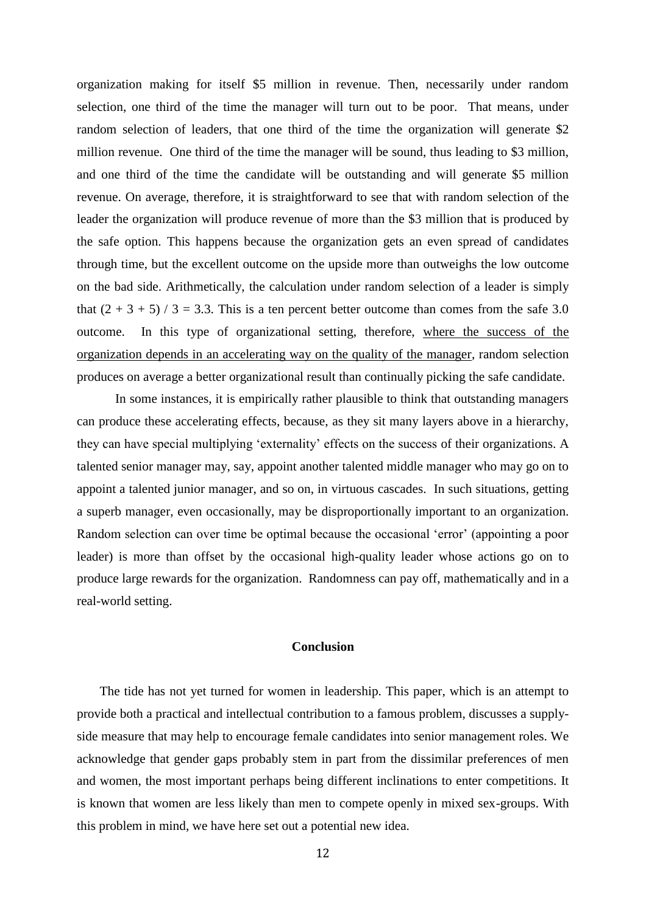organization making for itself \$5 million in revenue. Then, necessarily under random selection, one third of the time the manager will turn out to be poor. That means, under random selection of leaders, that one third of the time the organization will generate \$2 million revenue. One third of the time the manager will be sound, thus leading to \$3 million, and one third of the time the candidate will be outstanding and will generate \$5 million revenue. On average, therefore, it is straightforward to see that with random selection of the leader the organization will produce revenue of more than the \$3 million that is produced by the safe option. This happens because the organization gets an even spread of candidates through time, but the excellent outcome on the upside more than outweighs the low outcome on the bad side. Arithmetically, the calculation under random selection of a leader is simply that  $(2 + 3 + 5)$  / 3 = 3.3. This is a ten percent better outcome than comes from the safe 3.0 outcome. In this type of organizational setting, therefore, where the success of the organization depends in an accelerating way on the quality of the manager, random selection produces on average a better organizational result than continually picking the safe candidate.

In some instances, it is empirically rather plausible to think that outstanding managers can produce these accelerating effects, because, as they sit many layers above in a hierarchy, they can have special multiplying 'externality' effects on the success of their organizations. A talented senior manager may, say, appoint another talented middle manager who may go on to appoint a talented junior manager, and so on, in virtuous cascades. In such situations, getting a superb manager, even occasionally, may be disproportionally important to an organization. Random selection can over time be optimal because the occasional 'error' (appointing a poor leader) is more than offset by the occasional high-quality leader whose actions go on to produce large rewards for the organization. Randomness can pay off, mathematically and in a real-world setting.

#### **Conclusion**

The tide has not yet turned for women in leadership. This paper, which is an attempt to provide both a practical and intellectual contribution to a famous problem, discusses a supplyside measure that may help to encourage female candidates into senior management roles. We acknowledge that gender gaps probably stem in part from the dissimilar preferences of men and women, the most important perhaps being different inclinations to enter competitions. It is known that women are less likely than men to compete openly in mixed sex-groups. With this problem in mind, we have here set out a potential new idea.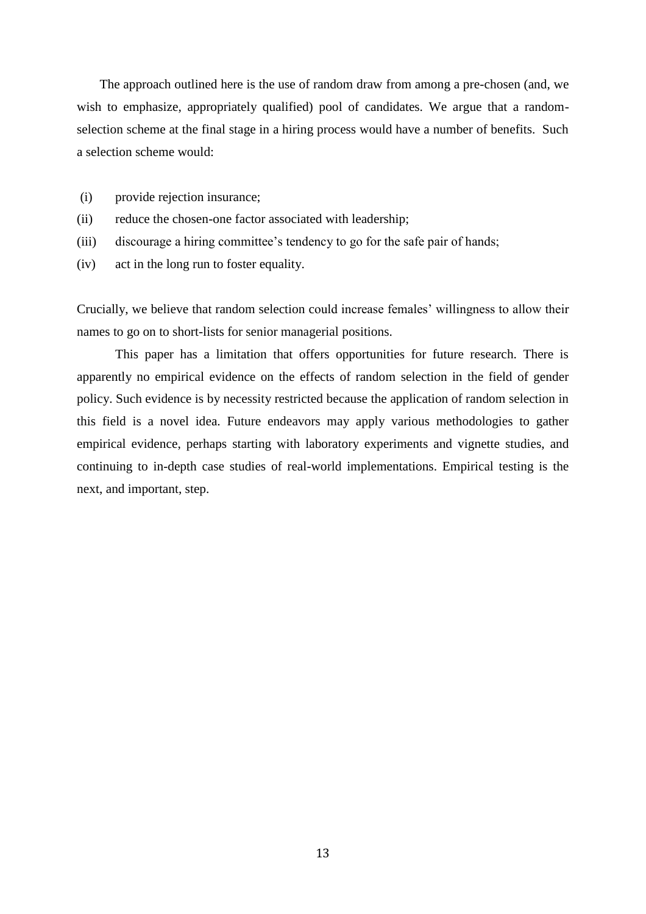The approach outlined here is the use of random draw from among a pre-chosen (and, we wish to emphasize, appropriately qualified) pool of candidates. We argue that a randomselection scheme at the final stage in a hiring process would have a number of benefits. Such a selection scheme would:

- (i) provide rejection insurance;
- (ii) reduce the chosen-one factor associated with leadership;
- (iii) discourage a hiring committee's tendency to go for the safe pair of hands;
- (iv) act in the long run to foster equality.

Crucially, we believe that random selection could increase females' willingness to allow their names to go on to short-lists for senior managerial positions.

This paper has a limitation that offers opportunities for future research. There is apparently no empirical evidence on the effects of random selection in the field of gender policy. Such evidence is by necessity restricted because the application of random selection in this field is a novel idea. Future endeavors may apply various methodologies to gather empirical evidence, perhaps starting with laboratory experiments and vignette studies, and continuing to in-depth case studies of real-world implementations. Empirical testing is the next, and important, step.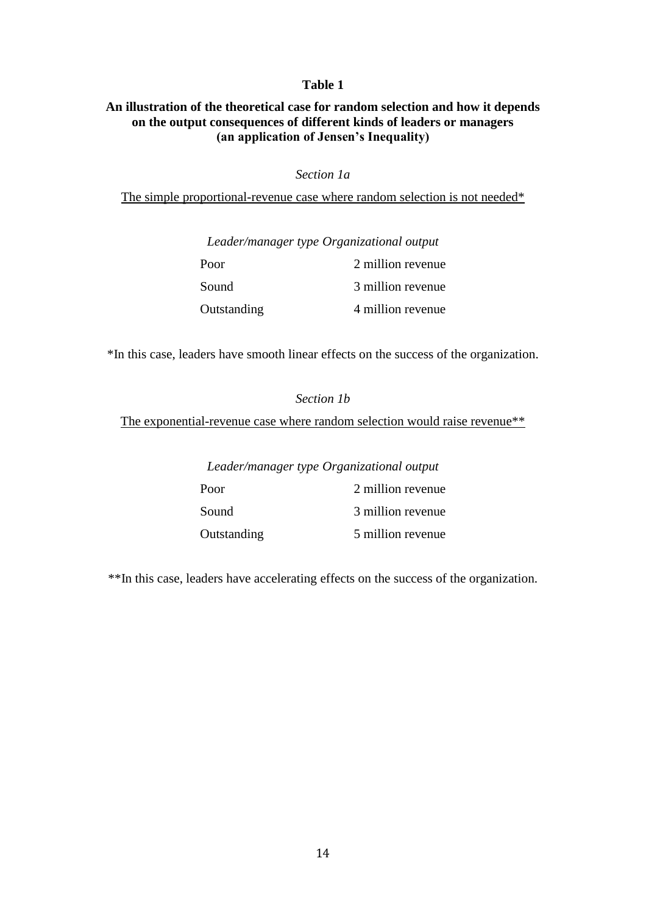#### **Table 1**

#### **An illustration of the theoretical case for random selection and how it depends on the output consequences of different kinds of leaders or managers (an application of Jensen's Inequality)**

#### *Section 1a*

The simple proportional-revenue case where random selection is not needed\*

#### *Leader/manager type Organizational output*

| Poor        | 2 million revenue |
|-------------|-------------------|
| Sound       | 3 million revenue |
| Outstanding | 4 million revenue |

\*In this case, leaders have smooth linear effects on the success of the organization.

## *Section 1b* The exponential-revenue case where random selection would raise revenue\*\*

*Leader/manager type Organizational output*

| Poor        | 2 million revenue |
|-------------|-------------------|
| Sound       | 3 million revenue |
| Outstanding | 5 million revenue |

\*\*In this case, leaders have accelerating effects on the success of the organization.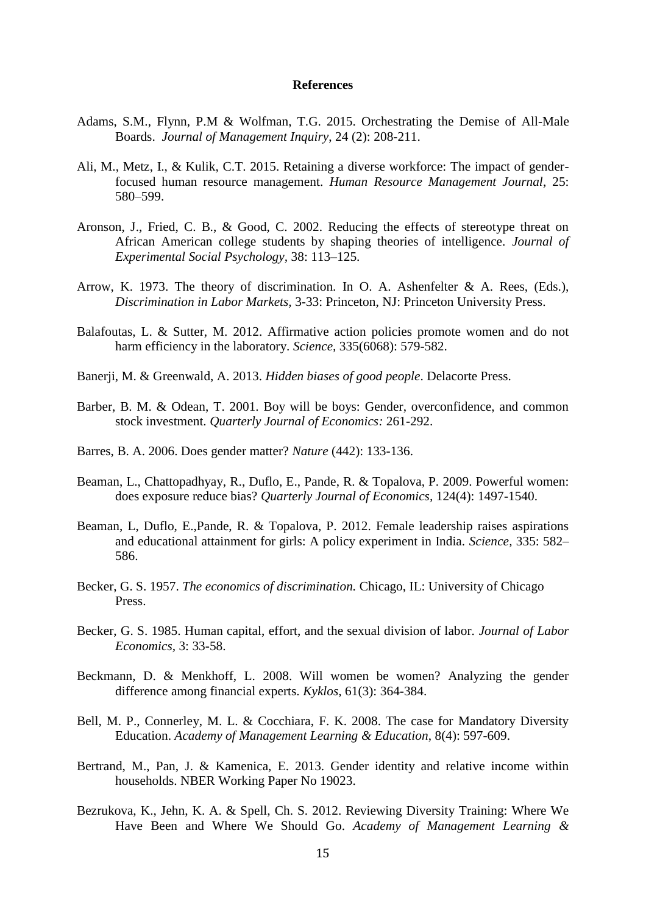#### **References**

- Adams, S.M., Flynn, P.M & Wolfman, T.G. 2015. Orchestrating the Demise of All-Male Boards. *Journal of Management Inquiry*, 24 (2): 208-211.
- Ali, M., Metz, I., & Kulik, C.T. 2015. Retaining a diverse workforce: The impact of genderfocused human resource management. *Human Resource Management Journal*, 25: 580–599.
- Aronson, J., Fried, C. B., & Good, C. 2002. Reducing the effects of stereotype threat on African American college students by shaping theories of intelligence. *Journal of Experimental Social Psychology,* 38: 113–125.
- Arrow, K. 1973. The theory of discrimination. In O. A. Ashenfelter & A. Rees, (Eds.), *Discrimination in Labor Markets,* 3-33: Princeton, NJ: Princeton University Press.
- Balafoutas, L. & Sutter, M. 2012. Affirmative action policies promote women and do not harm efficiency in the laboratory. *Science,* 335(6068): 579-582.
- Banerji, M. & Greenwald, A. 2013. *Hidden biases of good people*. Delacorte Press.
- Barber, B. M. & Odean, T. 2001. Boy will be boys: Gender, overconfidence, and common stock investment. *Quarterly Journal of Economics:* 261-292.
- Barres, B. A. 2006. Does gender matter? *Nature* (442): 133-136.
- Beaman, L., Chattopadhyay, R., Duflo, E., Pande, R. & Topalova, P. 2009. Powerful women: does exposure reduce bias? *Quarterly Journal of Economics,* 124(4): 1497-1540.
- Beaman, L, Duflo, E.,Pande, R. & Topalova, P. 2012. Female leadership raises aspirations and educational attainment for girls: A policy experiment in India. *Science,* 335: 582– 586.
- Becker, G. S. 1957. *The economics of discrimination.* Chicago, IL: University of Chicago Press.
- Becker, G. S. 1985. Human capital, effort, and the sexual division of labor. *Journal of Labor Economics,* 3: 33-58.
- Beckmann, D. & Menkhoff, L. 2008. Will women be women? Analyzing the gender difference among financial experts. *Kyklos,* 61(3): 364-384.
- Bell, M. P., Connerley, M. L. & Cocchiara, F. K. 2008. The case for Mandatory Diversity Education. *Academy of Management Learning & Education*, 8(4): 597-609.
- Bertrand, M., Pan, J. & Kamenica, E. 2013. Gender identity and relative income within households. NBER Working Paper No 19023.
- Bezrukova, K., Jehn, K. A. & Spell, Ch. S. 2012. Reviewing Diversity Training: Where We Have Been and Where We Should Go. *Academy of Management Learning &*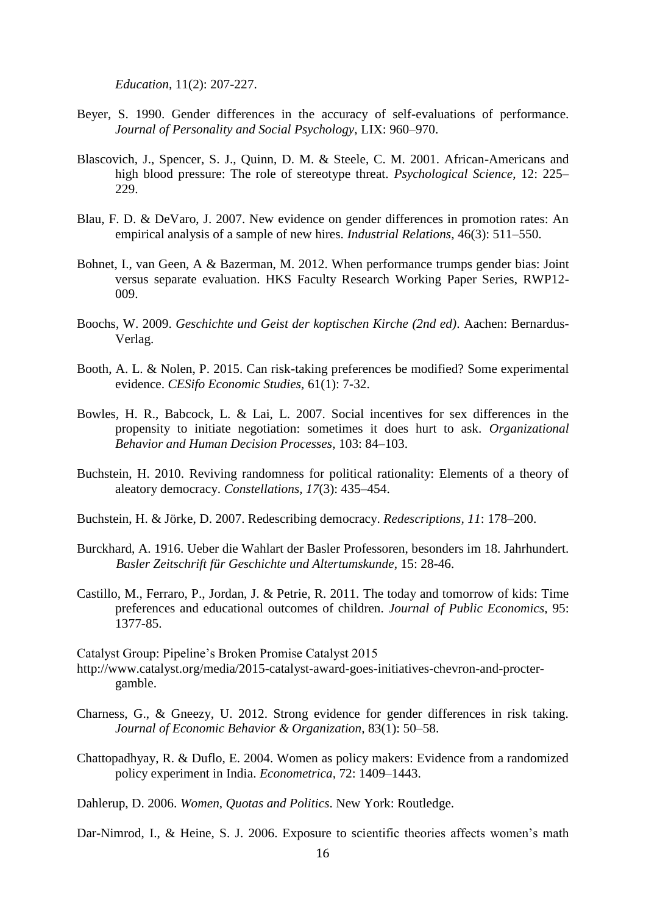*Education,* 11(2): 207-227.

- Beyer, S. 1990. Gender differences in the accuracy of self-evaluations of performance. *Journal of Personality and Social Psychology,* LIX: 960–970.
- Blascovich, J., Spencer, S. J., Quinn, D. M. & Steele, C. M. 2001. African-Americans and high blood pressure: The role of stereotype threat. *Psychological Science*, 12: 225– 229.
- Blau, F. D. & DeVaro, J. 2007. New evidence on gender differences in promotion rates: An empirical analysis of a sample of new hires. *Industrial Relations,* 46(3): 511–550.
- Bohnet, I., van Geen, A & Bazerman, M. 2012. When performance trumps gender bias: Joint versus separate evaluation. HKS Faculty Research Working Paper Series, RWP12- 009.
- Boochs, W. 2009. *Geschichte und Geist der koptischen Kirche (2nd ed)*. Aachen: Bernardus-Verlag.
- Booth, A. L. & Nolen, P. 2015. Can risk-taking preferences be modified? Some experimental evidence. *CESifo Economic Studies,* 61(1): 7-32.
- Bowles, H. R., Babcock, L. & Lai, L. 2007. Social incentives for sex differences in the propensity to initiate negotiation: sometimes it does hurt to ask. *Organizational Behavior and Human Decision Processes,* 103: 84–103.
- Buchstein, H. 2010. Reviving randomness for political rationality: Elements of a theory of aleatory democracy. *Constellations, 17*(3): 435–454.
- Buchstein, H. & Jörke, D. 2007. Redescribing democracy. *Redescriptions, 11*: 178–200.
- Burckhard, A. 1916. Ueber die Wahlart der Basler Professoren, besonders im 18. Jahrhundert*. Basler Zeitschrift für Geschichte und Altertumskunde*, 15: 28-46.
- Castillo, M., Ferraro, P., Jordan, J. & Petrie, R. 2011. The today and tomorrow of kids: Time preferences and educational outcomes of children. *Journal of Public Economics,* 95: 1377-85.

Catalyst Group: Pipeline's Broken Promise Catalyst 2015

- http://www.catalyst.org/media/2015-catalyst-award-goes-initiatives-chevron-and-proctergamble.
- Charness, G., & Gneezy, U. 2012. Strong evidence for gender differences in risk taking. *Journal of Economic Behavior & Organization,* 83(1): 50–58.
- Chattopadhyay, R. & Duflo, E. 2004. Women as policy makers: Evidence from a randomized policy experiment in India. *Econometrica,* 72: 1409–1443.
- Dahlerup, D. 2006. *Women, Quotas and Politics*. New York: Routledge.

Dar-Nimrod, I., & Heine, S. J. 2006. Exposure to scientific theories affects women's math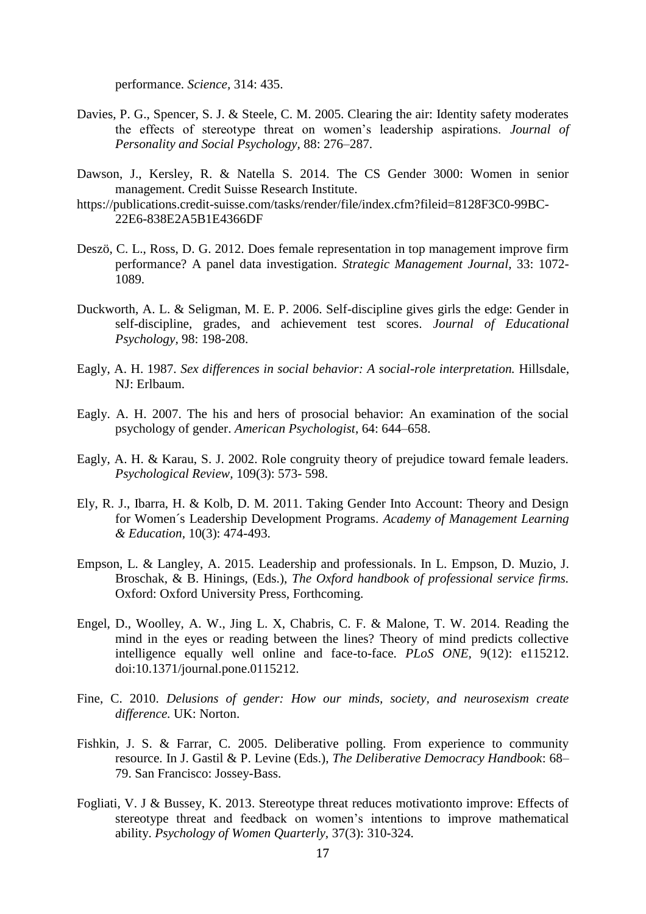performance. *Science,* 314: 435.

- Davies, P. G., Spencer, S. J. & Steele, C. M. 2005. Clearing the air: Identity safety moderates the effects of stereotype threat on women's leadership aspirations. *Journal of Personality and Social Psychology,* 88: 276–287.
- Dawson, J., Kersley, R. & Natella S. 2014. The CS Gender 3000: Women in senior management. Credit Suisse Research Institute.
- https://publications.credit-suisse.com/tasks/render/file/index.cfm?fileid=8128F3C0-99BC-22E6-838E2A5B1E4366DF
- Deszö, C. L., Ross, D. G. 2012. Does female representation in top management improve firm performance? A panel data investigation. *Strategic Management Journal,* 33: 1072- 1089.
- Duckworth, A. L. & Seligman, M. E. P. 2006. Self-discipline gives girls the edge: Gender in self-discipline, grades, and achievement test scores. *Journal of Educational Psychology,* 98: 198-208.
- Eagly, A. H. 1987. *Sex differences in social behavior: A social-role interpretation.* Hillsdale, NJ: Erlbaum.
- Eagly. A. H. 2007. The his and hers of prosocial behavior: An examination of the social psychology of gender. *American Psychologist*, 64: 644–658.
- Eagly, A. H. & Karau, S. J. 2002. Role congruity theory of prejudice toward female leaders. *Psychological Review,* 109(3): 573- 598.
- Ely, R. J., Ibarra, H. & Kolb, D. M. 2011. Taking Gender Into Account: Theory and Design for Women´s Leadership Development Programs. *Academy of Management Learning & Education,* 10(3): 474-493.
- Empson, L. & Langley, A. 2015. Leadership and professionals. In L. Empson, D. Muzio, J. Broschak, & B. Hinings, (Eds.), *The Oxford handbook of professional service firms.*  Oxford: Oxford University Press, Forthcoming.
- Engel, D., Woolley, A. W., Jing L. X, Chabris, C. F. & Malone, T. W. 2014. Reading the mind in the eyes or reading between the lines? Theory of mind predicts collective intelligence equally well online and face-to-face. *PLoS ONE,* 9(12): e115212. doi:10.1371/journal.pone.0115212.
- Fine, C. 2010. *Delusions of gender: How our minds, society, and neurosexism create difference.* UK: Norton.
- Fishkin, J. S. & Farrar, C. 2005. Deliberative polling. From experience to community resource. In J. Gastil & P. Levine (Eds.), *The Deliberative Democracy Handbook*: 68– 79. San Francisco: Jossey-Bass.
- Fogliati, V. J & Bussey, K. 2013. Stereotype threat reduces motivationto improve: Effects of stereotype threat and feedback on women's intentions to improve mathematical ability. *Psychology of Women Quarterly,* 37(3): 310-324.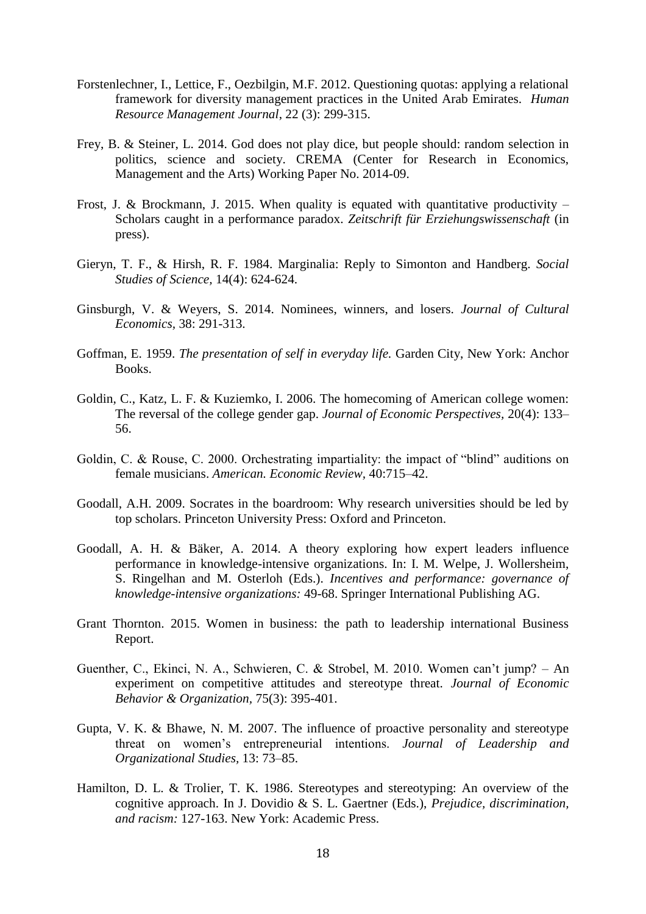- Forstenlechner, I., Lettice, F., Oezbilgin, M.F. 2012. Questioning quotas: applying a relational framework for diversity management practices in the United Arab Emirates. *Human Resource Management Journal*, 22 (3): 299-315.
- Frey, B. & Steiner, L. 2014. God does not play dice, but people should: random selection in politics, science and society. CREMA (Center for Research in Economics, Management and the Arts) Working Paper No. 2014-09.
- Frost, J. & Brockmann, J. 2015. When quality is equated with quantitative productivity Scholars caught in a performance paradox. *Zeitschrift für Erziehungswissenschaft* (in press).
- <span id="page-19-0"></span>Gieryn, T. F., & Hirsh, R. F. 1984. Marginalia: Reply to Simonton and Handberg. *Social Studies of Science,* 14(4): 624-624.
- Ginsburgh, V. & Weyers, S. 2014. Nominees, winners, and losers. *Journal of Cultural Economics,* 38: 291-313.
- Goffman, E. 1959. *The presentation of self in everyday life.* Garden City, New York: Anchor Books.
- Goldin, C., Katz, L. F. & Kuziemko, I. 2006. The homecoming of American college women: The reversal of the college gender gap. *Journal of Economic Perspectives,* 20(4): 133– 56.
- Goldin, C. & Rouse, C. 2000. Orchestrating impartiality: the impact of "blind" auditions on female musicians. *American. Economic Review,* 40:715–42.
- Goodall, A.H. 2009. Socrates in the boardroom: Why research universities should be led by top scholars. Princeton University Press: Oxford and Princeton.
- Goodall, A. H. & Bäker, A. 2014. A theory exploring how expert leaders influence performance in knowledge-intensive organizations. In: I. M. Welpe, J. Wollersheim, S. Ringelhan and M. Osterloh (Eds.). *Incentives and performance: governance of knowledge-intensive organizations:* 49-68. Springer International Publishing AG.
- Grant Thornton. 2015. Women in business: the path to leadership international Business Report.
- Guenther, C., Ekinci, N. A., Schwieren, C. & Strobel, M. 2010. Women can't jump? An experiment on competitive attitudes and stereotype threat. *Journal of Economic Behavior & Organization,* 75(3): 395-401.
- Gupta, V. K. & Bhawe, N. M. 2007. The influence of proactive personality and stereotype threat on women's entrepreneurial intentions. *Journal of Leadership and Organizational Studies,* 13: 73–85.
- Hamilton, D. L. & Trolier, T. K. 1986. Stereotypes and stereotyping: An overview of the cognitive approach. In J. Dovidio & S. L. Gaertner (Eds.), *Prejudice, discrimination, and racism:* 127-163. New York: Academic Press.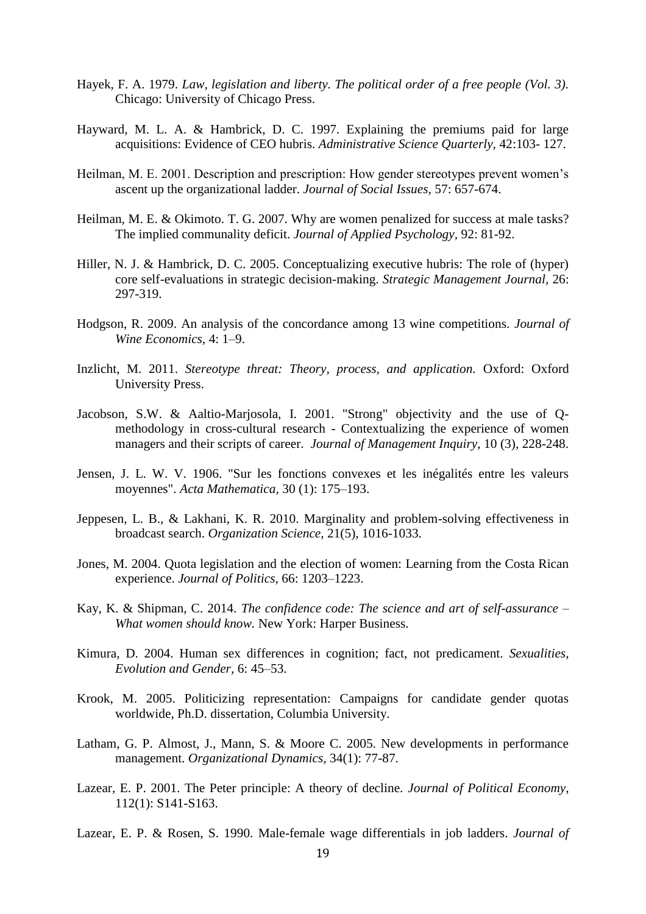- Hayek, F. A. 1979. *Law, legislation and liberty. The political order of a free people (Vol. 3).* Chicago: University of Chicago Press.
- Hayward, M. L. A. & Hambrick, D. C. 1997. Explaining the premiums paid for large acquisitions: Evidence of CEO hubris. *Administrative Science Quarterly,* 42:103- 127.
- Heilman, M. E. 2001. Description and prescription: How gender stereotypes prevent women's ascent up the organizational ladder. *Journal of Social Issues,* 57: 657-674.
- Heilman, M. E. & Okimoto. T. G. 2007. Why are women penalized for success at male tasks? The implied communality deficit. *Journal of Applied Psychology,* 92: 81-92.
- Hiller, N. J. & Hambrick, D. C. 2005. Conceptualizing executive hubris: The role of (hyper) core self-evaluations in strategic decision-making. *Strategic Management Journal,* 26: 297-319.
- Hodgson, R. 2009. An analysis of the concordance among 13 wine competitions. *Journal of Wine Economics,* 4: 1–9.
- Inzlicht, M. 2011. *Stereotype threat: Theory, process, and application.* Oxford: Oxford University Press.
- Jacobson, S.W. & Aaltio-Marjosola, I. 2001. "Strong" objectivity and the use of Qmethodology in cross-cultural research - Contextualizing the experience of women managers and their scripts of career. *Journal of Management Inquiry*, 10 (3), 228-248.
- Jensen, J. L. W. V. 1906. "Sur les fonctions convexes et les inégalités entre les valeurs moyennes". *Acta Mathematica,* 30 (1): 175–193.
- Jeppesen, L. B., & Lakhani, K. R. 2010. Marginality and problem-solving effectiveness in broadcast search. *Organization Science,* 21(5), 1016-1033.
- Jones, M. 2004. Quota legislation and the election of women: Learning from the Costa Rican experience. *Journal of Politics,* 66: 1203–1223.
- Kay, K. & Shipman, C. 2014. *The confidence code: The science and art of self-assurance – What women should know.* New York: Harper Business.
- Kimura, D. 2004. Human sex differences in cognition; fact, not predicament. *Sexualities, Evolution and Gender,* 6: 45–53.
- Krook, M. 2005. Politicizing representation: Campaigns for candidate gender quotas worldwide, Ph.D. dissertation, Columbia University.
- Latham, G. P. Almost, J., Mann, S. & Moore C. 2005. New developments in performance management. *Organizational Dynamics,* 34(1): 77-87.
- Lazear, E. P. 2001. The Peter principle: A theory of decline. *Journal of Political Economy,* 112(1): S141-S163.
- Lazear, E. P. & Rosen, S. 1990. Male-female wage differentials in job ladders. *Journal of*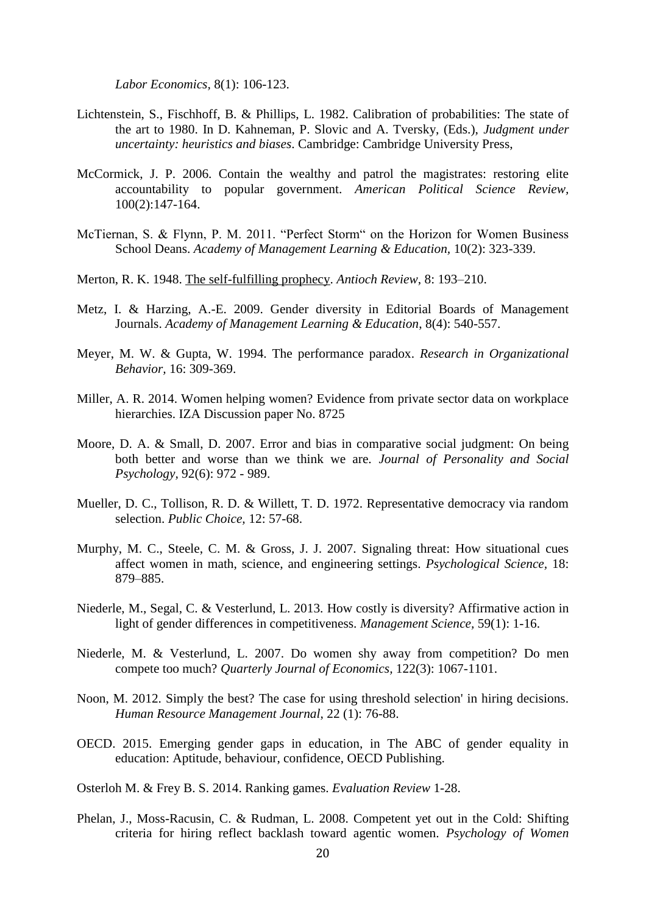*Labor Economics,* 8(1): 106-123.

- Lichtenstein, S., Fischhoff, B. & Phillips, L. 1982. Calibration of probabilities: The state of the art to 1980. In D. Kahneman, P. Slovic and A. Tversky, (Eds.), *Judgment under uncertainty: heuristics and biases*. Cambridge: Cambridge University Press,
- McCormick, J. P. 2006. Contain the wealthy and patrol the magistrates: restoring elite accountability to popular government. *American Political Science Review,* 100(2):147-164.
- McTiernan, S. & Flynn, P. M. 2011. "Perfect Storm" on the Horizon for Women Business School Deans. *Academy of Management Learning & Education,* 10(2): 323-339.
- Merton, R. K. 1948. The self-fulfilling prophecy. *Antioch Review*, 8: 193–210.
- Metz, I. & Harzing, A.-E. 2009. Gender diversity in Editorial Boards of Management Journals. *Academy of Management Learning & Education*, 8(4): 540-557.
- Meyer, M. W. & Gupta, W. 1994. The performance paradox. *Research in Organizational Behavior,* 16: 309-369.
- Miller, A. R. 2014. Women helping women? Evidence from private sector data on workplace hierarchies. IZA Discussion paper No. 8725
- Moore, D. A. & Small, D. 2007. Error and bias in comparative social judgment: On being both better and worse than we think we are. *Journal of Personality and Social Psychology,* 92(6): 972 - 989.
- Mueller, D. C., Tollison, R. D. & Willett, T. D. 1972. Representative democracy via random selection. *Public Choice,* 12: 57-68.
- Murphy, M. C., Steele, C. M. & Gross, J. J. 2007. Signaling threat: How situational cues affect women in math, science, and engineering settings. *Psychological Science,* 18: 879–885.
- Niederle, M., Segal, C. & Vesterlund, L. 2013. How costly is diversity? Affirmative action in light of gender differences in competitiveness. *Management Science,* 59(1): 1-16.
- Niederle, M. & Vesterlund, L. 2007. Do women shy away from competition? Do men compete too much? *Quarterly Journal of Economics,* 122(3): 1067-1101.
- Noon, M. 2012. Simply the best? The case for using threshold selection' in hiring decisions. *Human Resource Management Journal*, 22 (1): 76-88.
- OECD. 2015. Emerging gender gaps in education, in The ABC of gender equality in education: Aptitude, behaviour, confidence, OECD Publishing.
- Osterloh M. & Frey B. S. 2014. Ranking games. *Evaluation Review* 1-28.
- Phelan, J., Moss-Racusin, C. & Rudman, L. 2008. Competent yet out in the Cold: Shifting criteria for hiring reflect backlash toward agentic women. *Psychology of Women*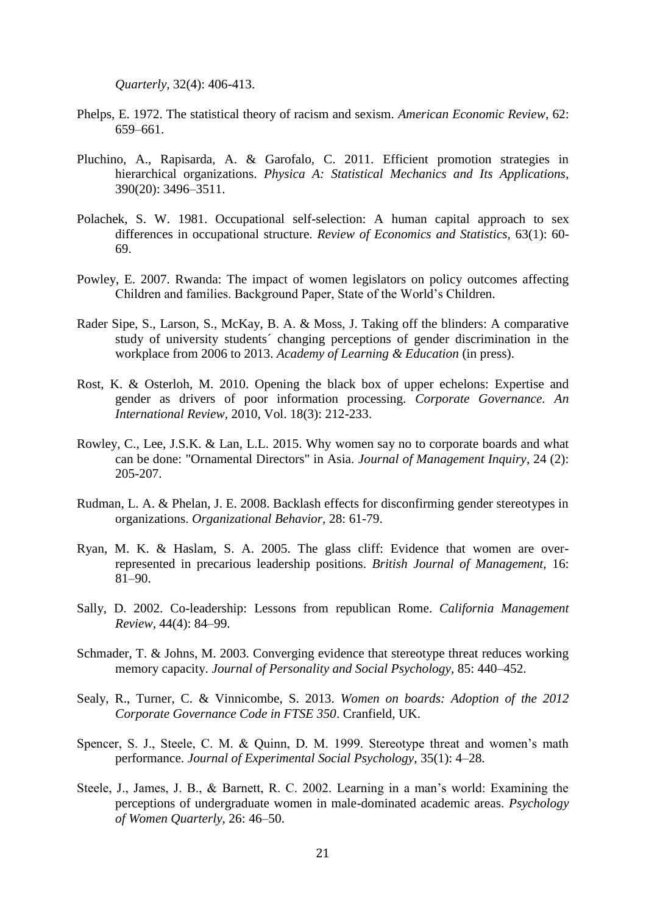*Quarterly,* 32(4): 406-413.

- Phelps, E. 1972. The statistical theory of racism and sexism. *American Economic Review,* 62: 659–661.
- Pluchino, A., Rapisarda, A. & Garofalo, C. 2011. Efficient promotion strategies in hierarchical organizations. *Physica A: Statistical Mechanics and Its Applications,* 390(20): 3496–3511.
- Polachek, S. W. 1981. Occupational self-selection: A human capital approach to sex differences in occupational structure. *Review of Economics and Statistics,* 63(1): 60- 69.
- Powley, E. 2007. Rwanda: The impact of women legislators on policy outcomes affecting Children and families. Background Paper, State of the World's Children.
- Rader Sipe, S., Larson, S., McKay, B. A. & Moss, J. Taking off the blinders: A comparative study of university students´ changing perceptions of gender discrimination in the workplace from 2006 to 2013. *Academy of Learning & Education* (in press).
- Rost, K. & Osterloh, M. 2010. Opening the black box of upper echelons: Expertise and gender as drivers of poor information processing. *Corporate Governance. An International Review,* 2010, Vol. 18(3): 212-233.
- Rowley, C., Lee, J.S.K. & Lan, L.L. 2015. Why women say no to corporate boards and what can be done: "Ornamental Directors" in Asia. *Journal of Management Inquiry*, 24 (2): 205-207.
- Rudman, L. A. & Phelan, J. E. 2008. Backlash effects for disconfirming gender stereotypes in organizations. *Organizational Behavior,* 28: 61-79.
- Ryan, M. K. & Haslam, S. A. 2005. The glass cliff: Evidence that women are overrepresented in precarious leadership positions. *British Journal of Management,* 16: 81–90.
- Sally, D. 2002. Co-leadership: Lessons from republican Rome. *California Management Review,* 44(4): 84–99.
- Schmader, T. & Johns, M. 2003. Converging evidence that stereotype threat reduces working memory capacity. *Journal of Personality and Social Psychology,* 85: 440–452.
- Sealy, R., Turner, C. & Vinnicombe, S. 2013. *Women on boards: Adoption of the 2012 Corporate Governance Code in FTSE 350*. Cranfield, UK.
- Spencer, S. J., Steele, C. M. & Quinn, D. M. 1999. Stereotype threat and women's math performance. *Journal of Experimental Social Psychology,* 35(1): 4–28.
- Steele, J., James, J. B., & Barnett, R. C. 2002. Learning in a man's world: Examining the perceptions of undergraduate women in male-dominated academic areas. *Psychology of Women Quarterly,* 26: 46–50.